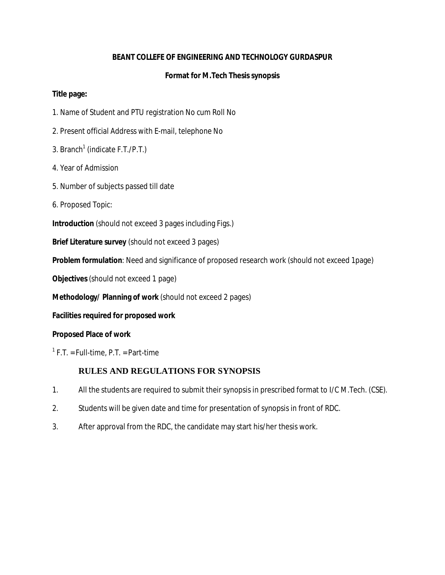#### **BEANT COLLEFE OF ENGINEERING AND TECHNOLOGY GURDASPUR**

#### **Format for M.Tech Thesis synopsis**

**Title page:** 

- 1. Name of Student and PTU registration No cum Roll No
- 2. Present official Address with E-mail, telephone No
- 3. Branch<sup>1</sup> (indicate F.T./P.T.)
- 4. Year of Admission
- 5. Number of subjects passed till date
- 6. Proposed Topic:

**Introduction** (should not exceed 3 pages including Figs.)

**Brief Literature survey** (should not exceed 3 pages)

**Problem formulation**: Need and significance of proposed research work (should not exceed 1page)

**Objectives** (should not exceed 1 page)

**Methodology/ Planning of work** (should not exceed 2 pages)

**Facilities required for proposed work** 

**Proposed Place of work** 

 $<sup>1</sup>$  F.T. = Full-time, P.T. = Part-time</sup>

#### **RULES AND REGULATIONS FOR SYNOPSIS**

- 1. All the students are required to submit their synopsis in prescribed format to I/C M.Tech. (CSE).
- 2. Students will be given date and time for presentation of synopsis in front of RDC.
- 3. After approval from the RDC, the candidate may start his/her thesis work.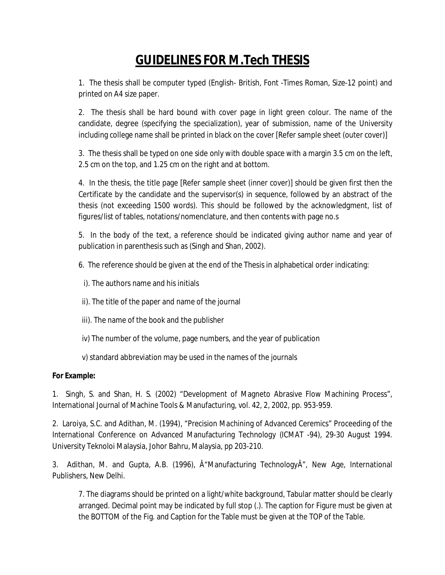# **GUIDELINES FOR M.Tech THESIS**

1. The thesis shall be computer typed (English- British, Font -Times Roman, Size-12 point) and printed on A4 size paper.

2. The thesis shall be hard bound with cover page in light green colour. The name of the candidate, degree (specifying the specialization), year of submission, name of the University including college name shall be printed in black on the cover [Refer sample sheet (outer cover)]

3. The thesis shall be typed on one side only with double space with a margin 3.5 cm on the left, 2.5 cm on the top, and 1.25 cm on the right and at bottom.

4. In the thesis, the title page [Refer sample sheet (inner cover)] should be given first then the Certificate by the candidate and the supervisor(s) in sequence, followed by an abstract of the thesis (not exceeding 1500 words). This should be followed by the acknowledgment, list of figures/list of tables, notations/nomenclature, and then contents with page no.s

5. In the body of the text, a reference should be indicated giving author name and year of publication in parenthesis such as (Singh and Shan, 2002).

6. The reference should be given at the end of the Thesis in alphabetical order indicating:

- i). The authors name and his initials
- ii). The title of the paper and name of the journal
- iii). The name of the book and the publisher
- iv) The number of the volume, page numbers, and the year of publication
- v) standard abbreviation may be used in the names of the journals

**For Example:** 

1. Singh, S. and Shan, H. S. (2002) "Development of Magneto Abrasive Flow Machining Process", International Journal of Machine Tools & Manufacturing, vol. 42, 2, 2002, pp. 953-959.

2. Laroiya, S.C. and Adithan, M. (1994), "Precision Machining of Advanced Ceremics" Proceeding of the International Conference on Advanced Manufacturing Technology (ICMAT -94), 29-30 August 1994. University Teknoloi Malaysia, Johor Bahru, Malaysia, pp 203-210.

3. Adithan, M. and Gupta, A.B. (1996),  $\hat{A}$ "Manufacturing Technology $\hat{A}$ ", New Age, International Publishers, New Delhi.

7. The diagrams should be printed on a light/white background, Tabular matter should be clearly arranged. Decimal point may be indicated by full stop (.). The caption for Figure must be given at the BOTTOM of the Fig. and Caption for the Table must be given at the TOP of the Table.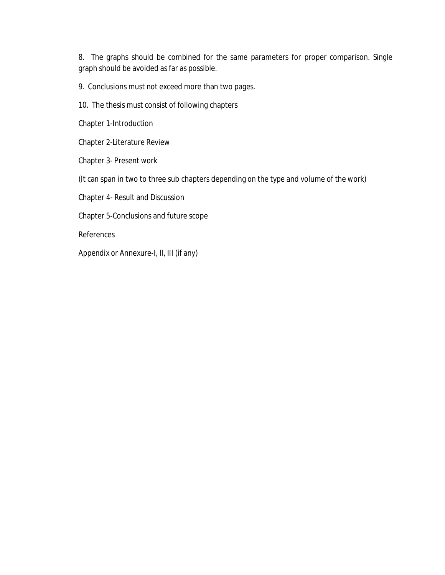8. The graphs should be combined for the same parameters for proper comparison. Single graph should be avoided as far as possible.

9. Conclusions must not exceed more than two pages.

10. The thesis must consist of following chapters

Chapter 1-Introduction

Chapter 2-Literature Review

Chapter 3- Present work

(It can span in two to three sub chapters depending on the type and volume of the work)

Chapter 4- Result and Discussion

Chapter 5-Conclusions and future scope

References

Appendix or Annexure-I, II, III (if any)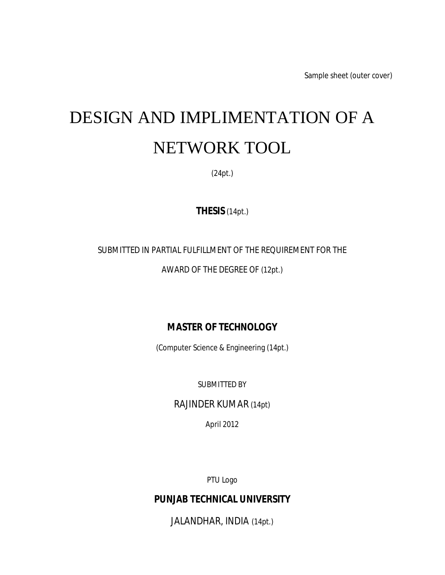Sample sheet (outer cover)

# DESIGN AND IMPLIMENTATION OF A NETWORK TOOL

(24pt.)

**THESIS** (14pt.)

#### SUBMITTED IN PARTIAL FULFILLMENT OF THE REQUIREMENT FOR THE

#### AWARD OF THE DEGREE OF (12pt.)

### **MASTER OF TECHNOLOGY**

(Computer Science & Engineering (14pt.)

SUBMITTED BY

RAJINDER KUMAR (14pt)

April 2012

PTU Logo

**PUNJAB TECHNICAL UNIVERSITY** 

JALANDHAR, INDIA (14pt.)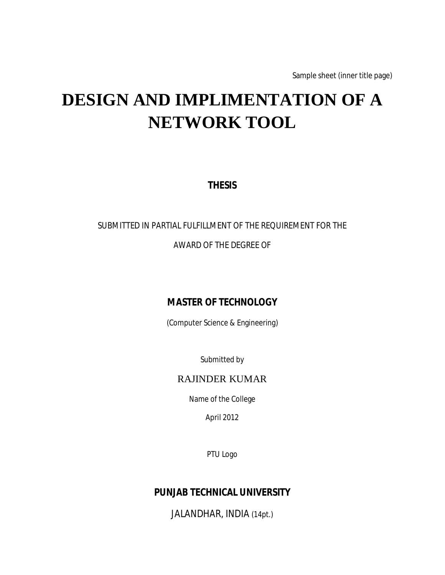Sample sheet (inner title page)

# **DESIGN AND IMPLIMENTATION OF A NETWORK TOOL**

**THESIS** 

# SUBMITTED IN PARTIAL FULFILLMENT OF THE REQUIREMENT FOR THE AWARD OF THE DEGREE OF

### **MASTER OF TECHNOLOGY**

(Computer Science & Engineering)

Submitted by

#### RAJINDER KUMAR

Name of the College

April 2012

PTU Logo

**PUNJAB TECHNICAL UNIVERSITY** 

JALANDHAR, INDIA (14pt.)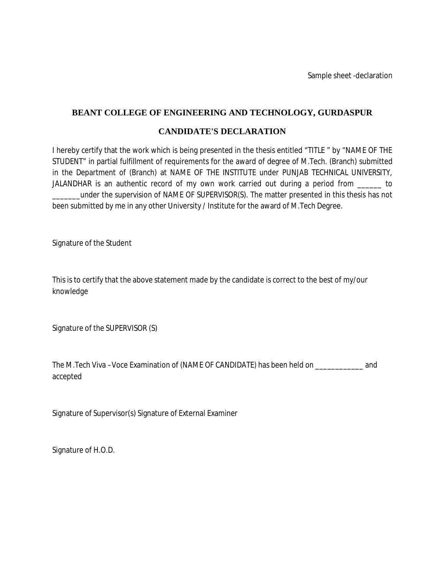Sample sheet -declaration

#### **BEANT COLLEGE OF ENGINEERING AND TECHNOLOGY, GURDASPUR**

#### **CANDIDATE'S DECLARATION**

I hereby certify that the work which is being presented in the thesis entitled "TITLE " by "NAME OF THE STUDENT" in partial fulfillment of requirements for the award of degree of M.Tech. (Branch) submitted in the Department of (Branch) at NAME OF THE INSTITUTE under PUNJAB TECHNICAL UNIVERSITY, JALANDHAR is an authentic record of my own work carried out during a period from \_\_\_\_\_\_ to under the supervision of NAME OF SUPERVISOR(S). The matter presented in this thesis has not been submitted by me in any other University / Institute for the award of M.Tech Degree.

Signature of the Student

This is to certify that the above statement made by the candidate is correct to the best of my/our knowledge

Signature of the SUPERVISOR (S)

The M.Tech Viva –Voce Examination of (NAME OF CANDIDATE) has been held on \_\_\_\_\_\_\_\_\_\_\_\_ and accepted

Signature of Supervisor(s) Signature of External Examiner

Signature of H.O.D.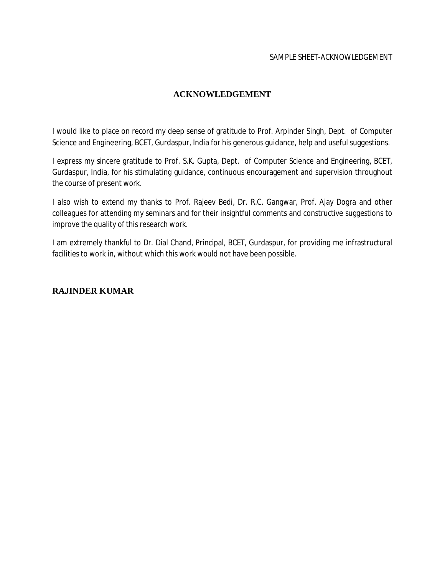#### **ACKNOWLEDGEMENT**

I would like to place on record my deep sense of gratitude to Prof. Arpinder Singh, Dept. of Computer Science and Engineering, BCET, Gurdaspur, India for his generous guidance, help and useful suggestions.

I express my sincere gratitude to Prof. S.K. Gupta, Dept. of Computer Science and Engineering, BCET, Gurdaspur, India, for his stimulating guidance, continuous encouragement and supervision throughout the course of present work.

I also wish to extend my thanks to Prof. Rajeev Bedi, Dr. R.C. Gangwar, Prof. Ajay Dogra and other colleagues for attending my seminars and for their insightful comments and constructive suggestions to improve the quality of this research work.

I am extremely thankful to Dr. Dial Chand, Principal, BCET, Gurdaspur, for providing me infrastructural facilities to work in, without which this work would not have been possible.

#### **RAJINDER KUMAR**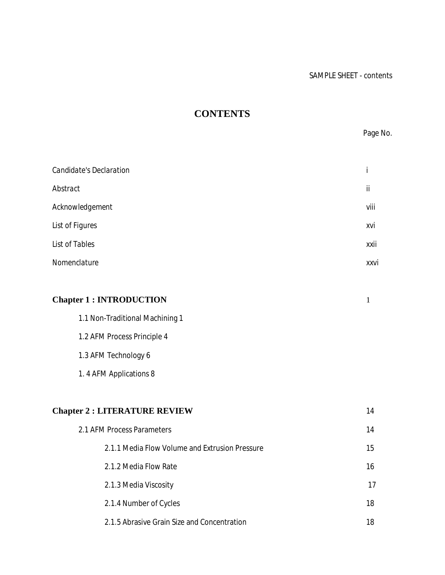## **CONTENTS**

Page No.

| Candidate's Declaration |      |
|-------------------------|------|
| Abstract                | ii   |
| Acknowledgement         | viii |
| <b>List of Figures</b>  | xvi  |
| List of Tables          | xxii |
| Nomenclature            | xxvi |
|                         |      |
|                         |      |

| <b>Chapter 1: INTRODUCTION</b>  |  |
|---------------------------------|--|
| 1.1 Non-Traditional Machining 1 |  |

1.2 AFM Process Principle 4

1.3 AFM Technology 6

1. 4 AFM Applications 8

| <b>Chapter 2 : LITERATURE REVIEW</b>           | 14 |
|------------------------------------------------|----|
| 2.1 AFM Process Parameters                     | 14 |
| 2.1.1 Media Flow Volume and Extrusion Pressure | 15 |
| 2.1.2 Media Flow Rate                          | 16 |
| 2.1.3 Media Viscosity                          | 17 |
| 2.1.4 Number of Cycles                         | 18 |
| 2.1.5 Abrasive Grain Size and Concentration    | 18 |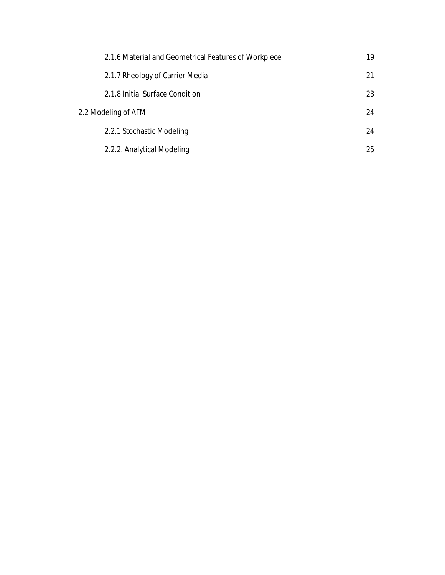| 2.1.6 Material and Geometrical Features of Workpiece | 19 |
|------------------------------------------------------|----|
| 2.1.7 Rheology of Carrier Media                      | 21 |
| 2.1.8 Initial Surface Condition                      | 23 |
| 2.2 Modeling of AFM                                  | 24 |
| 2.2.1 Stochastic Modeling                            | 24 |
| 2.2.2. Analytical Modeling                           | 25 |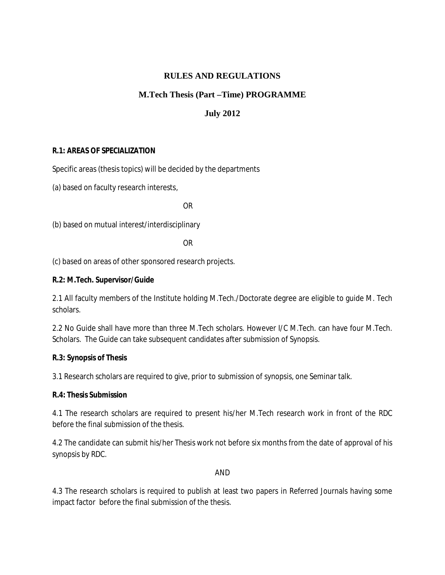#### **RULES AND REGULATIONS**

#### **M.Tech Thesis (Part –Time) PROGRAMME**

#### **July 2012**

#### **R.1: AREAS OF SPECIALIZATION**

Specific areas (thesis topics) will be decided by the departments

(a) based on faculty research interests,

OR

(b) based on mutual interest/interdisciplinary

OR

(c) based on areas of other sponsored research projects.

**R.2: M.Tech. Supervisor/Guide** 

2.1 All faculty members of the Institute holding M.Tech./Doctorate degree are eligible to guide M. Tech scholars.

2.2 No Guide shall have more than three M.Tech scholars. However I/C M.Tech. can have four M.Tech. Scholars. The Guide can take subsequent candidates after submission of Synopsis.

**R.3: Synopsis of Thesis** 

3.1 Research scholars are required to give, prior to submission of synopsis, one Seminar talk.

**R.4: Thesis Submission** 

4.1 The research scholars are required to present his/her M.Tech research work in front of the RDC before the final submission of the thesis.

4.2 The candidate can submit his/her Thesis work not before six months from the date of approval of his synopsis by RDC.

#### AND

4.3 The research scholars is required to publish at least two papers in Referred Journals having some impact factor before the final submission of the thesis.